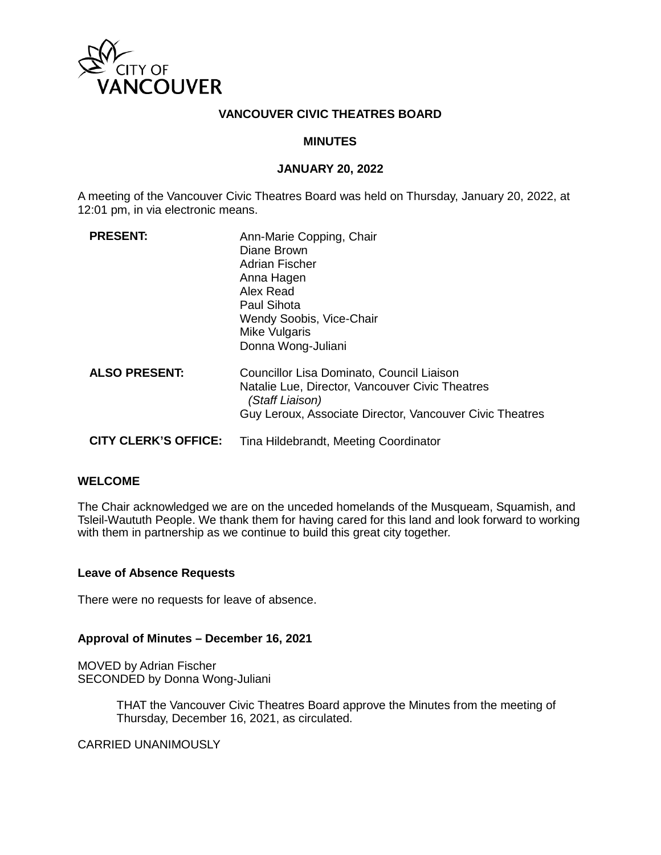

### **VANCOUVER CIVIC THEATRES BOARD**

### **MINUTES**

#### **JANUARY 20, 2022**

A meeting of the Vancouver Civic Theatres Board was held on Thursday, January 20, 2022, at 12:01 pm, in via electronic means.

| <b>PRESENT:</b>             | Ann-Marie Copping, Chair<br>Diane Brown<br><b>Adrian Fischer</b><br>Anna Hagen<br>Alex Read<br>Paul Sihota<br>Wendy Soobis, Vice-Chair<br>Mike Vulgaris<br>Donna Wong-Juliani |
|-----------------------------|-------------------------------------------------------------------------------------------------------------------------------------------------------------------------------|
| <b>ALSO PRESENT:</b>        | Councillor Lisa Dominato, Council Liaison<br>Natalie Lue, Director, Vancouver Civic Theatres<br>(Staff Liaison)<br>Guy Leroux, Associate Director, Vancouver Civic Theatres   |
| <b>CITY CLERK'S OFFICE:</b> | Tina Hildebrandt, Meeting Coordinator                                                                                                                                         |

## **WELCOME**

The Chair acknowledged we are on the unceded homelands of the Musqueam, Squamish, and Tsleil-Waututh People. We thank them for having cared for this land and look forward to working with them in partnership as we continue to build this great city together.

#### **Leave of Absence Requests**

There were no requests for leave of absence.

#### **Approval of Minutes – December 16, 2021**

MOVED by Adrian Fischer SECONDED by Donna Wong-Juliani

> THAT the Vancouver Civic Theatres Board approve the Minutes from the meeting of Thursday, December 16, 2021, as circulated.

CARRIED UNANIMOUSLY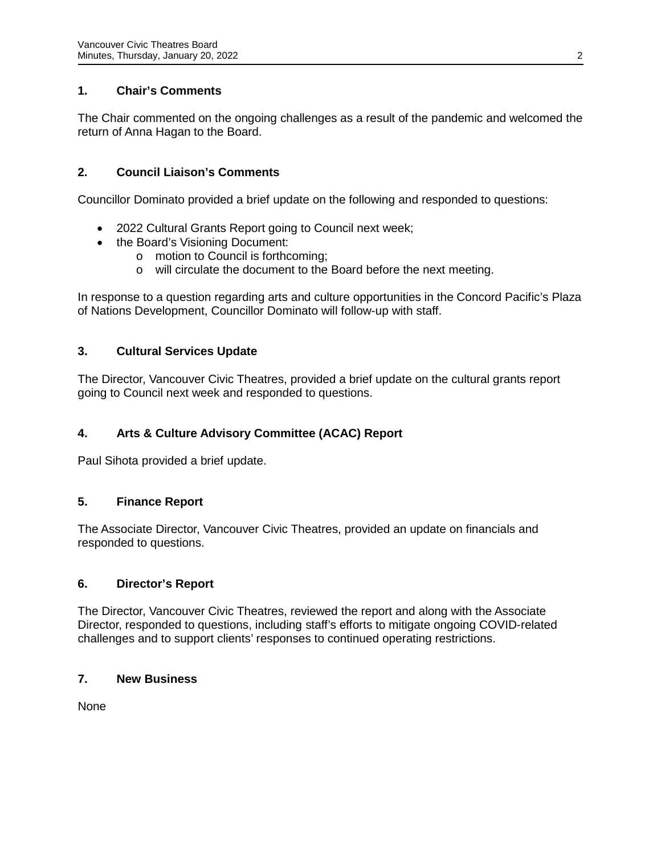# **1. Chair's Comments**

The Chair commented on the ongoing challenges as a result of the pandemic and welcomed the return of Anna Hagan to the Board.

# **2. Council Liaison's Comments**

Councillor Dominato provided a brief update on the following and responded to questions:

- 2022 Cultural Grants Report going to Council next week;
- the Board's Visioning Document:
	- o motion to Council is forthcoming;
	- o will circulate the document to the Board before the next meeting.

In response to a question regarding arts and culture opportunities in the Concord Pacific's Plaza of Nations Development, Councillor Dominato will follow-up with staff.

## **3. Cultural Services Update**

The Director, Vancouver Civic Theatres, provided a brief update on the cultural grants report going to Council next week and responded to questions.

# **4. Arts & Culture Advisory Committee (ACAC) Report**

Paul Sihota provided a brief update.

### **5. Finance Report**

The Associate Director, Vancouver Civic Theatres, provided an update on financials and responded to questions.

### **6. Director's Report**

The Director, Vancouver Civic Theatres, reviewed the report and along with the Associate Director, responded to questions, including staff's efforts to mitigate ongoing COVID-related challenges and to support clients' responses to continued operating restrictions.

### **7. New Business**

None